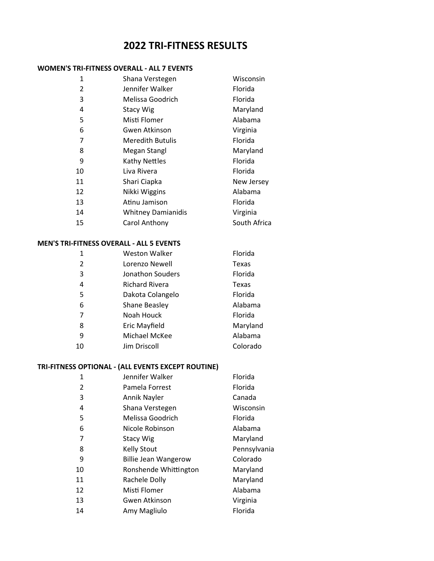# **TRI-FITNESS RESULTS**

#### **WOMEN'S TRI-FITNESS OVERALL - ALL 7 EVENTS**

| 1              | Shana Verstegen           | Wisconsin    |
|----------------|---------------------------|--------------|
| $\overline{2}$ | Jennifer Walker           | Florida      |
| 3              | Melissa Goodrich          | Florida      |
| 4              | Stacy Wig                 | Maryland     |
| 5              | Misti Flomer              | Alabama      |
| 6              | Gwen Atkinson             | Virginia     |
| 7              | <b>Meredith Butulis</b>   | Florida      |
| 8              | Megan Stangl              | Maryland     |
| 9              | <b>Kathy Nettles</b>      | Florida      |
| 10             | Liva Rivera               | Florida      |
| 11             | Shari Ciapka              | New Jersey   |
| 12             | Nikki Wiggins             | Alabama      |
| 13             | Atinu Jamison             | Florida      |
| 14             | <b>Whitney Damianidis</b> | Virginia     |
| 15             | Carol Anthony             | South Africa |

#### **MEN'S TRI-FITNESS OVERALL - ALL 5 EVENTS**

| 1  | <b>Weston Walker</b>  | Florida  |
|----|-----------------------|----------|
| 2  | Lorenzo Newell        | Texas    |
| 3  | Jonathon Souders      | Florida  |
| 4  | <b>Richard Rivera</b> | Texas    |
| 5  | Dakota Colangelo      | Florida  |
| 6  | Shane Beasley         | Alabama  |
| 7  | Noah Houck            | Florida  |
| 8  | Eric Mayfield         | Maryland |
| 9  | Michael McKee         | Alabama  |
| 10 | Jim Driscoll          | Colorado |

#### **TRI-FITNESS OPTIONAL - (ALL EVENTS EXCEPT ROUTINE)**

| 1  | Jennifer Walker             | Florida      |
|----|-----------------------------|--------------|
| 2  | Pamela Forrest              | Florida      |
| 3  | Annik Nayler                | Canada       |
| 4  | Shana Verstegen             | Wisconsin    |
| 5  | Melissa Goodrich            | Florida      |
| 6  | Nicole Robinson             | Alabama      |
| 7  | <b>Stacy Wig</b>            | Maryland     |
| 8  | <b>Kelly Stout</b>          | Pennsylvania |
| 9  | <b>Billie Jean Wangerow</b> | Colorado     |
| 10 | Ronshende Whittington       | Maryland     |
| 11 | Rachele Dolly               | Maryland     |
| 12 | Misti Flomer                | Alabama      |
| 13 | Gwen Atkinson               | Virginia     |
| 14 | Amy Magliulo                | Florida      |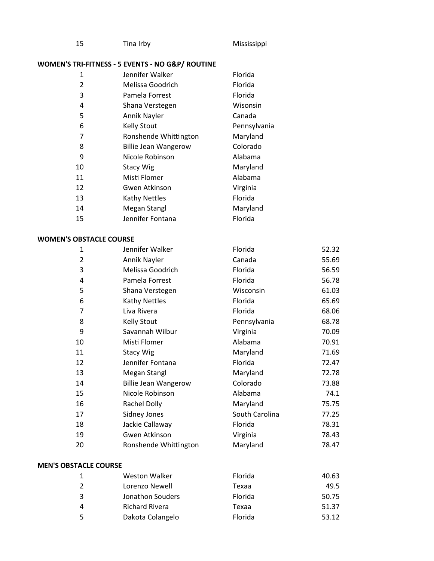| Tina Irby<br>- 15 | Mississippi |
|-------------------|-------------|
|-------------------|-------------|

## **WOMEN'S TRI-FITNESS - 5 EVENTS - NO G&P/ ROUTINE**

| 1  | Jennifer Walker             | Florida      |
|----|-----------------------------|--------------|
| 2  | Melissa Goodrich            | Florida      |
| 3  | Pamela Forrest              | Florida      |
| 4  | Shana Verstegen             | Wisonsin     |
| 5  | Annik Nayler                | Canada       |
| 6  | <b>Kelly Stout</b>          | Pennsylvania |
| 7  | Ronshende Whittington       | Maryland     |
| 8  | <b>Billie Jean Wangerow</b> | Colorado     |
| 9  | Nicole Robinson             | Alabama      |
| 10 | <b>Stacy Wig</b>            | Maryland     |
| 11 | Misti Flomer                | Alabama      |
| 12 | Gwen Atkinson               | Virginia     |
| 13 | <b>Kathy Nettles</b>        | Florida      |
| 14 | Megan Stangl                | Maryland     |
| 15 | Jennifer Fontana            | Florida      |

## **WOMEN'S OBSTACLE COURSE**

| 1                            | Jennifer Walker             | Florida        | 52.32 |
|------------------------------|-----------------------------|----------------|-------|
| $\overline{2}$               | Annik Nayler                | Canada         | 55.69 |
| 3                            | Melissa Goodrich            | Florida        | 56.59 |
| 4                            | Pamela Forrest              | Florida        | 56.78 |
| 5                            | Shana Verstegen             | Wisconsin      | 61.03 |
| 6                            | Kathy Nettles               | Florida        | 65.69 |
| $\overline{7}$               | Liva Rivera                 | Florida        | 68.06 |
| 8                            | <b>Kelly Stout</b>          | Pennsylvania   | 68.78 |
| 9                            | Savannah Wilbur             | Virginia       | 70.09 |
| 10                           | Misti Flomer                | Alabama        | 70.91 |
| 11                           | <b>Stacy Wig</b>            | Maryland       | 71.69 |
| 12                           | Jennifer Fontana            | Florida        | 72.47 |
| 13                           | Megan Stangl                | Maryland       | 72.78 |
| 14                           | <b>Billie Jean Wangerow</b> | Colorado       | 73.88 |
| 15                           | Nicole Robinson             | Alabama        | 74.1  |
| 16                           | Rachel Dolly                | Maryland       | 75.75 |
| 17                           | Sidney Jones                | South Carolina | 77.25 |
| 18                           | Jackie Callaway             | Florida        | 78.31 |
| 19                           | Gwen Atkinson               | Virginia       | 78.43 |
| 20                           | Ronshende Whittington       | Maryland       | 78.47 |
| <b>MEN'S OBSTACLE COURSE</b> |                             |                |       |

|   | <b>Weston Walker</b>  | Florida | 40.63 |
|---|-----------------------|---------|-------|
| 2 | Lorenzo Newell        | Texaa   | 49.5  |
| 3 | Jonathon Souders      | Florida | 50.75 |
| 4 | <b>Richard Rivera</b> | Texaa   | 51.37 |
| 5 | Dakota Colangelo      | Florida | 53.12 |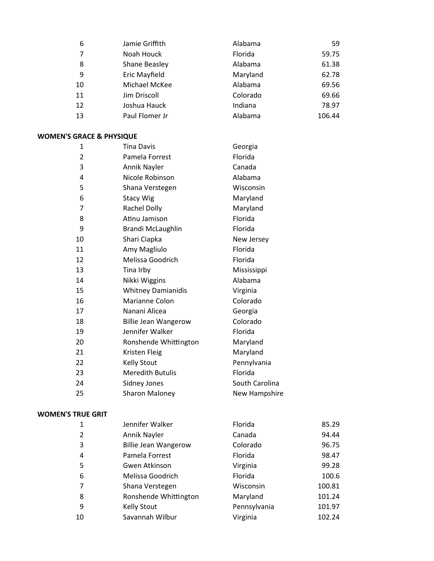| 6  | Jamie Griffith | Alabama  | 59     |
|----|----------------|----------|--------|
| 7  | Noah Houck     | Florida  | 59.75  |
| 8  | Shane Beasley  | Alabama  | 61.38  |
| 9  | Eric Mayfield  | Maryland | 62.78  |
| 10 | Michael McKee  | Alabama  | 69.56  |
| 11 | Jim Driscoll   | Colorado | 69.66  |
| 12 | Joshua Hauck   | Indiana  | 78.97  |
| 13 | Paul Flomer Jr | Alabama  | 106.44 |

#### **WOMEN'S GRACE & PHYSIQUE**

| 1              | Tina Davis                  | Georgia        |
|----------------|-----------------------------|----------------|
| 2              | Pamela Forrest              | Florida        |
| 3              | Annik Nayler                | Canada         |
| 4              | Nicole Robinson             | Alabama        |
| 5              | Shana Verstegen             | Wisconsin      |
| 6              | <b>Stacy Wig</b>            | Maryland       |
| $\overline{7}$ | Rachel Dolly                | Maryland       |
| 8              | Atinu Jamison               | Florida        |
| 9              | Brandi McLaughlin           | Florida        |
| 10             | Shari Ciapka                | New Jersey     |
| 11             | Amy Magliulo                | Florida        |
| 12             | Melissa Goodrich            | Florida        |
| 13             | Tina Irby                   | Mississippi    |
| 14             | Nikki Wiggins               | Alabama        |
| 15             | <b>Whitney Damianidis</b>   | Virginia       |
| 16             | Marianne Colon              | Colorado       |
| 17             | Nanani Alicea               | Georgia        |
| 18             | <b>Billie Jean Wangerow</b> | Colorado       |
| 19             | Jennifer Walker             | Florida        |
| 20             | Ronshende Whittington       | Maryland       |
| 21             | Kristen Fleig               | Maryland       |
| 22             | <b>Kelly Stout</b>          | Pennylvania    |
| 23             | <b>Meredith Butulis</b>     | Florida        |
| 24             | Sidney Jones                | South Carolina |
| 25             | <b>Sharon Maloney</b>       | New Hampshire  |

#### **WOMEN'S TRUE GRIT**

| 1              | Jennifer Walker             | Florida      | 85.29  |
|----------------|-----------------------------|--------------|--------|
| $\overline{2}$ | Annik Nayler                | Canada       | 94.44  |
| 3              | <b>Billie Jean Wangerow</b> | Colorado     | 96.75  |
| 4              | Pamela Forrest              | Florida      | 98.47  |
| 5              | Gwen Atkinson               | Virginia     | 99.28  |
| 6              | Melissa Goodrich            | Florida      | 100.6  |
| 7              | Shana Verstegen             | Wisconsin    | 100.81 |
| 8              | Ronshende Whittington       | Maryland     | 101.24 |
| 9              | <b>Kelly Stout</b>          | Pennsylvania | 101.97 |
| 10             | Savannah Wilbur             | Virginia     | 102.24 |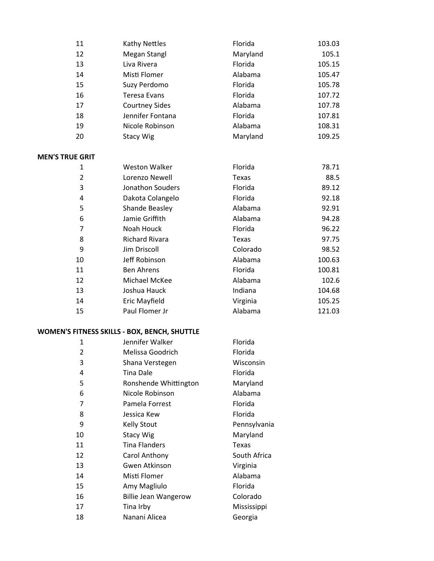| 11                     | Kathy Nettles         | Florida      | 103.03 |
|------------------------|-----------------------|--------------|--------|
| 12                     | Megan Stangl          | Maryland     | 105.1  |
| 13                     | Liva Rivera           | Florida      | 105.15 |
| 14                     | Misti Flomer          | Alabama      | 105.47 |
| 15                     | Suzy Perdomo          | Florida      | 105.78 |
| 16                     | <b>Teresa Evans</b>   | Florida      | 107.72 |
| 17                     | <b>Courtney Sides</b> | Alabama      | 107.78 |
| 18                     | Jennifer Fontana      | Florida      | 107.81 |
| 19                     | Nicole Robinson       | Alabama      | 108.31 |
| 20                     | <b>Stacy Wig</b>      | Maryland     | 109.25 |
| <b>MEN'S TRUE GRIT</b> |                       |              |        |
| 1                      | <b>Weston Walker</b>  | Florida      | 78.71  |
| $\overline{2}$         | Lorenzo Newell        | Texas        | 88.5   |
| 3                      | Jonathon Souders      | Florida      | 89.12  |
| 4                      | Dakota Colangelo      | Florida      | 92.18  |
| 5                      | Shande Beasley        | Alabama      | 92.91  |
| 6                      | Jamie Griffith        | Alabama      | 94.28  |
| $\overline{7}$         | Noah Houck            | Florida      | 96.22  |
| 8                      | <b>Richard Rivara</b> | <b>Texas</b> | 97.75  |
| 9                      | Jim Driscoll          | Colorado     | 98.52  |
| 10                     | Jeff Robinson         | Alabama      | 100.63 |
| 11                     | <b>Ben Ahrens</b>     | Florida      | 100.81 |
| 12                     | Michael McKee         | Alabama      | 102.6  |
| 13                     | Joshua Hauck          | Indiana      | 104.68 |
| 14                     | Eric Mayfield         | Virginia     | 105.25 |
| 15                     | Paul Flomer Jr        | Alabama      | 121.03 |

# **WOMEN'S FITNESS SKILLS - BOX, BENCH, SHUTTLE**

| 1  | Jennifer Walker             | Florida      |
|----|-----------------------------|--------------|
| 2  | Melissa Goodrich            | Florida      |
| 3  | Shana Verstegen             | Wisconsin    |
| 4  | Tina Dale                   | Florida      |
| 5  | Ronshende Whittington       | Maryland     |
| 6  | Nicole Robinson             | Alabama      |
| 7  | Pamela Forrest              | Florida      |
| 8  | Jessica Kew                 | Florida      |
| 9  | <b>Kelly Stout</b>          | Pennsylvania |
| 10 | <b>Stacy Wig</b>            | Maryland     |
| 11 | <b>Tina Flanders</b>        | <b>Texas</b> |
| 12 | Carol Anthony               | South Africa |
| 13 | Gwen Atkinson               | Virginia     |
| 14 | Misti Flomer                | Alabama      |
|    |                             |              |
| 15 | Amy Magliulo                | Florida      |
| 16 | <b>Billie Jean Wangerow</b> | Colorado     |
| 17 | Tina Irby                   | Mississippi  |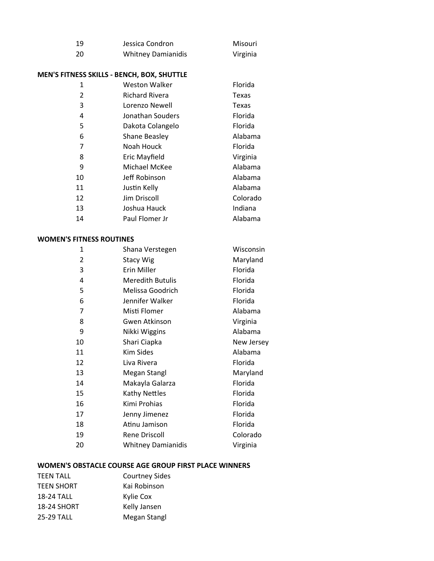| - 19 | Jessica Condron           | Misouri  |
|------|---------------------------|----------|
| -20  | <b>Whitney Damianidis</b> | Virginia |

### **MEN'S FITNESS SKILLS - BENCH, BOX, SHUTTLE**

| 1  | Weston Walker         | Florida      |
|----|-----------------------|--------------|
| 2  | <b>Richard Rivera</b> | <b>Texas</b> |
| 3  | Lorenzo Newell        | Texas        |
| 4  | Jonathan Souders      | Florida      |
| 5  | Dakota Colangelo      | Florida      |
| 6  | Shane Beasley         | Alabama      |
| 7  | Noah Houck            | Florida      |
| 8  | Eric Mayfield         | Virginia     |
| 9  | Michael McKee         | Alabama      |
| 10 | Jeff Robinson         | Alabama      |
| 11 | Justin Kelly          | Alabama      |
| 12 | Jim Driscoll          | Colorado     |
| 13 | Joshua Hauck          | Indiana      |
| 14 | Paul Flomer Jr        | Alabama      |

#### **WOMEN'S FITNESS ROUTINES**

| 1  | Shana Verstegen           | Wisconsin  |
|----|---------------------------|------------|
| 2  | <b>Stacy Wig</b>          | Maryland   |
| 3  | Erin Miller               | Florida    |
| 4  | <b>Meredith Butulis</b>   | Florida    |
| 5  | Melissa Goodrich          | Florida    |
| 6  | Jennifer Walker           | Florida    |
| 7  | Misti Flomer              | Alabama    |
| 8  | Gwen Atkinson             | Virginia   |
| 9  | Nikki Wiggins             | Alabama    |
| 10 | Shari Ciapka              | New Jersey |
| 11 | Kim Sides                 | Alabama    |
| 12 | Liva Rivera               | Florida    |
| 13 | Megan Stangl              | Maryland   |
| 14 | Makayla Galarza           | Florida    |
| 15 | <b>Kathy Nettles</b>      | Florida    |
| 16 | Kimi Prohias              | Florida    |
| 17 | Jenny Jimenez             | Florida    |
| 18 | Atinu Jamison             | Florida    |
| 19 | Rene Driscoll             | Colorado   |
| 20 | <b>Whitney Damianidis</b> | Virginia   |

## **WOMEN'S OBSTACLE COURSE AGE GROUP FIRST PLACE WINNERS**

| TEEN TALL          | <b>Courtney Sides</b> |
|--------------------|-----------------------|
| <b>TEEN SHORT</b>  | Kai Robinson          |
| <b>18-24 TALL</b>  | Kylie Cox             |
| <b>18-24 SHORT</b> | Kelly Jansen          |
| <b>25-29 TALL</b>  | Megan Stangl          |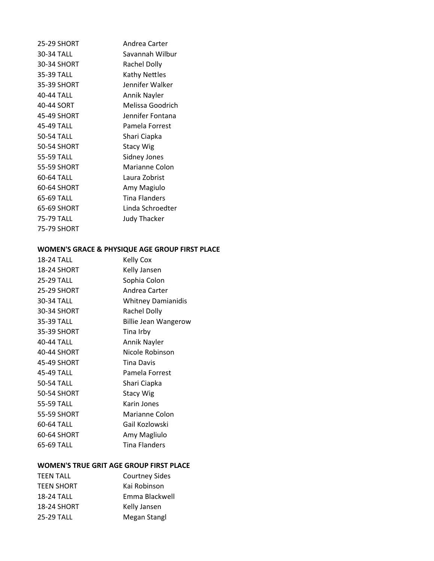| 25-29 SHORT        | Andrea Carter       |
|--------------------|---------------------|
| 30-34 TALL         | Savannah Wilbur     |
| 30-34 SHORT        | <b>Rachel Dolly</b> |
| 35-39 TALL         | Kathy Nettles       |
| 35-39 SHORT        | Jennifer Walker     |
| 40-44 TALL         | Annik Nayler        |
| 40-44 SORT         | Melissa Goodrich    |
| 45-49 SHORT        | Jennifer Fontana    |
| 45-49 TALL         | Pamela Forrest      |
| 50-54 TALL         | Shari Ciapka        |
| <b>50-54 SHORT</b> | <b>Stacy Wig</b>    |
| 55-59 TALL         | Sidney Jones        |
| <b>55-59 SHORT</b> | Marianne Colon      |
| 60-64 TALL         | Laura Zobrist       |
| 60-64 SHORT        | Amy Magiulo         |
| 65-69 TALL         | Tina Flanders       |
| 65-69 SHORT        | Linda Schroedter    |
| 75-79 TALL         | <b>Judy Thacker</b> |
| 75-79 SHORT        |                     |

## **WOMEN'S GRACE & PHYSIQUE AGE GROUP FIRST PLACE**

| <b>18-24 TALL</b>  | <b>Kelly Cox</b>          |
|--------------------|---------------------------|
| <b>18-24 SHORT</b> | Kelly Jansen              |
| <b>25-29 TALL</b>  | Sophia Colon              |
| 25-29 SHORT        | Andrea Carter             |
| 30-34 TALL         | <b>Whitney Damianidis</b> |
| 30-34 SHORT        | Rachel Dolly              |
| 35-39 TALL         | Billie Jean Wangerow      |
| 35-39 SHORT        | Tina Irby                 |
| 40-44 TALL         | Annik Nayler              |
| 40-44 SHORT        | Nicole Robinson           |
| 45-49 SHORT        | Tina Davis                |
| 45-49 TALL         | Pamela Forrest            |
| 50-54 TALL         | Shari Ciapka              |
| 50-54 SHORT        | <b>Stacy Wig</b>          |
| 55-59 TALL         | Karin Jones               |
| 55-59 SHORT        | Marianne Colon            |
| 60-64 TALL         | Gail Kozlowski            |
| 60-64 SHORT        | Amy Magliulo              |
| 65-69 TALL         | <b>Tina Flanders</b>      |
|                    |                           |

## **WOMEN'S TRUE GRIT AGE GROUP FIRST PLACE**

| TEEN TALL         | <b>Courtney Sides</b> |
|-------------------|-----------------------|
| <b>TEEN SHORT</b> | Kai Robinson          |
| <b>18-24 TALL</b> | Emma Blackwell        |
| 18-24 SHORT       | Kelly Jansen          |
| 25-29 TALL        | Megan Stangl          |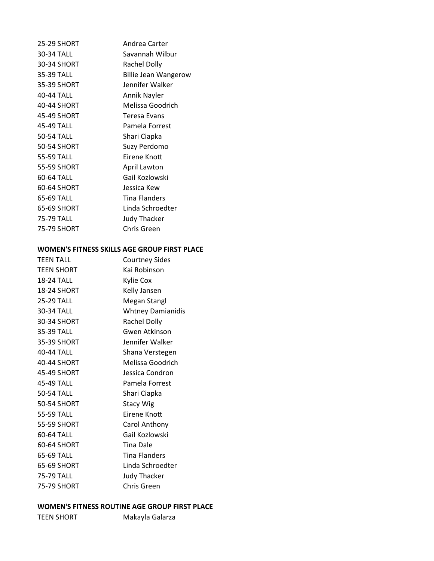| 25-29 SHORT        | Andrea Carter               |
|--------------------|-----------------------------|
| 30-34 TALL         | Savannah Wilbur             |
| 30-34 SHORT        | Rachel Dolly                |
| 35-39 TALL         | <b>Billie Jean Wangerow</b> |
| 35-39 SHORT        | Jennifer Walker             |
| 40-44 TALL         | Annik Nayler                |
| 40-44 SHORT        | Melissa Goodrich            |
| 45-49 SHORT        | Teresa Evans                |
| 45-49 TALL         | Pamela Forrest              |
| 50-54 TALL         | Shari Ciapka                |
| <b>50-54 SHORT</b> | Suzy Perdomo                |
| 55-59 TALL         | Eirene Knott                |
| 55-59 SHORT        | April Lawton                |
| 60-64 TALL         | Gail Kozlowski              |
| 60-64 SHORT        | Jessica Kew                 |
| 65-69 TALL         | <b>Tina Flanders</b>        |
| 65-69 SHORT        | Linda Schroedter            |
| 75-79 TALL         | <b>Judy Thacker</b>         |
| 75-79 SHORT        | Chris Green                 |
|                    |                             |

#### **WOMEN'S FITNESS SKILLS AGE GROUP FIRST PLACE**

| <b>Courtney Sides</b>    |
|--------------------------|
| Kai Robinson             |
| Kylie Cox                |
| Kelly Jansen             |
| Megan Stangl             |
| <b>Whtney Damianidis</b> |
| Rachel Dolly             |
| Gwen Atkinson            |
| Jennifer Walker          |
| Shana Verstegen          |
| Melissa Goodrich         |
| Jessica Condron          |
| Pamela Forrest           |
| Shari Ciapka             |
| <b>Stacy Wig</b>         |
| Eirene Knott             |
| Carol Anthony            |
| Gail Kozlowski           |
| <b>Tina Dale</b>         |
| <b>Tina Flanders</b>     |
| Linda Schroedter         |
| <b>Judy Thacker</b>      |
| Chris Green              |
|                          |

# **WOMEN'S FITNESS ROUTINE AGE GROUP FIRST PLACE**

TEEN SHORT Makayla Galarza